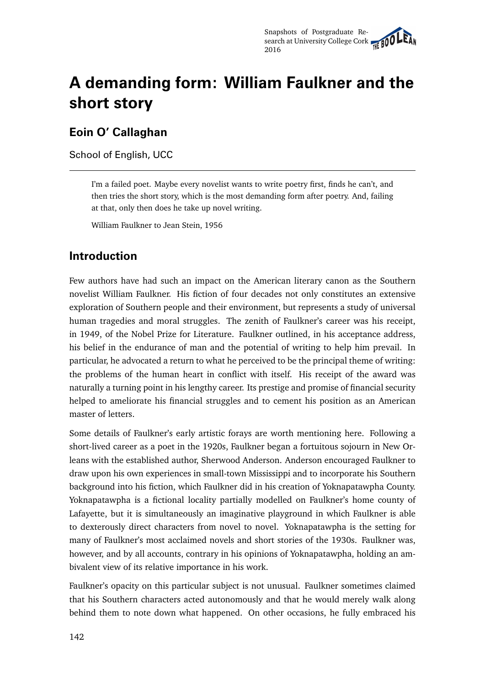# **A demanding form: William Faulkner and the short story**

### **Eoin O' Callaghan**

School of English, UCC

I'm a failed poet. Maybe every novelist wants to write poetry first, finds he can't, and then tries the short story, which is the most demanding form after poetry. And, failing at that, only then does he take up novel writing.

William Faulkner to Jean Stein, 1956

## **Introduction**

Few authors have had such an impact on the American literary canon as the Southern novelist William Faulkner. His fiction of four decades not only constitutes an extensive exploration of Southern people and their environment, but represents a study of universal human tragedies and moral struggles. The zenith of Faulkner's career was his receipt, in 1949, of the Nobel Prize for Literature. Faulkner outlined, in his acceptance address, his belief in the endurance of man and the potential of writing to help him prevail. In particular, he advocated a return to what he perceived to be the principal theme of writing: the problems of the human heart in conflict with itself. His receipt of the award was naturally a turning point in his lengthy career. Its prestige and promise of financial security helped to ameliorate his financial struggles and to cement his position as an American master of letters.

Some details of Faulkner's early artistic forays are worth mentioning here. Following a short-lived career as a poet in the 1920s, Faulkner began a fortuitous sojourn in New Orleans with the established author, Sherwood Anderson. Anderson encouraged Faulkner to draw upon his own experiences in small-town Mississippi and to incorporate his Southern background into his fiction, which Faulkner did in his creation of Yoknapatawpha County. Yoknapatawpha is a fictional locality partially modelled on Faulkner's home county of Lafayette, but it is simultaneously an imaginative playground in which Faulkner is able to dexterously direct characters from novel to novel. Yoknapatawpha is the setting for many of Faulkner's most acclaimed novels and short stories of the 1930s. Faulkner was, however, and by all accounts, contrary in his opinions of Yoknapatawpha, holding an ambivalent view of its relative importance in his work.

Faulkner's opacity on this particular subject is not unusual. Faulkner sometimes claimed that his Southern characters acted autonomously and that he would merely walk along behind them to note down what happened. On other occasions, he fully embraced his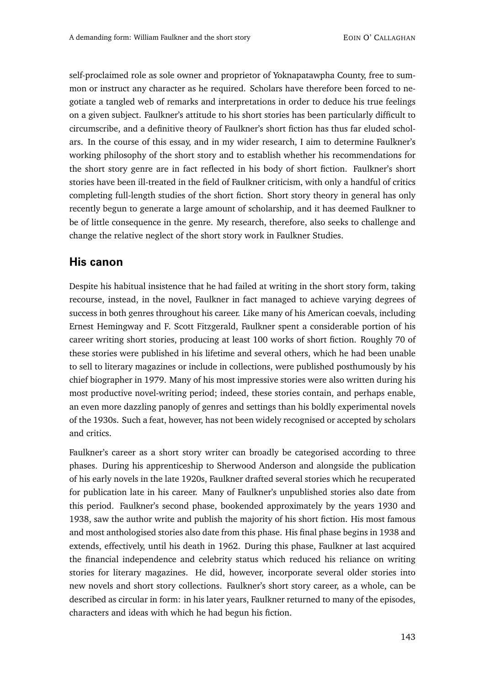self-proclaimed role as sole owner and proprietor of Yoknapatawpha County, free to summon or instruct any character as he required. Scholars have therefore been forced to negotiate a tangled web of remarks and interpretations in order to deduce his true feelings on a given subject. Faulkner's attitude to his short stories has been particularly difficult to circumscribe, and a definitive theory of Faulkner's short fiction has thus far eluded scholars. In the course of this essay, and in my wider research, I aim to determine Faulkner's working philosophy of the short story and to establish whether his recommendations for the short story genre are in fact reflected in his body of short fiction. Faulkner's short stories have been ill-treated in the field of Faulkner criticism, with only a handful of critics completing full-length studies of the short fiction. Short story theory in general has only recently begun to generate a large amount of scholarship, and it has deemed Faulkner to be of little consequence in the genre. My research, therefore, also seeks to challenge and change the relative neglect of the short story work in Faulkner Studies.

#### **His canon**

Despite his habitual insistence that he had failed at writing in the short story form, taking recourse, instead, in the novel, Faulkner in fact managed to achieve varying degrees of success in both genres throughout his career. Like many of his American coevals, including Ernest Hemingway and F. Scott Fitzgerald, Faulkner spent a considerable portion of his career writing short stories, producing at least 100 works of short fiction. Roughly 70 of these stories were published in his lifetime and several others, which he had been unable to sell to literary magazines or include in collections, were published posthumously by his chief biographer in 1979. Many of his most impressive stories were also written during his most productive novel-writing period; indeed, these stories contain, and perhaps enable, an even more dazzling panoply of genres and settings than his boldly experimental novels of the 1930s. Such a feat, however, has not been widely recognised or accepted by scholars and critics.

Faulkner's career as a short story writer can broadly be categorised according to three phases. During his apprenticeship to Sherwood Anderson and alongside the publication of his early novels in the late 1920s, Faulkner drafted several stories which he recuperated for publication late in his career. Many of Faulkner's unpublished stories also date from this period. Faulkner's second phase, bookended approximately by the years 1930 and 1938, saw the author write and publish the majority of his short fiction. His most famous and most anthologised stories also date from this phase. His final phase begins in 1938 and extends, effectively, until his death in 1962. During this phase, Faulkner at last acquired the financial independence and celebrity status which reduced his reliance on writing stories for literary magazines. He did, however, incorporate several older stories into new novels and short story collections. Faulkner's short story career, as a whole, can be described as circular in form: in his later years, Faulkner returned to many of the episodes, characters and ideas with which he had begun his fiction.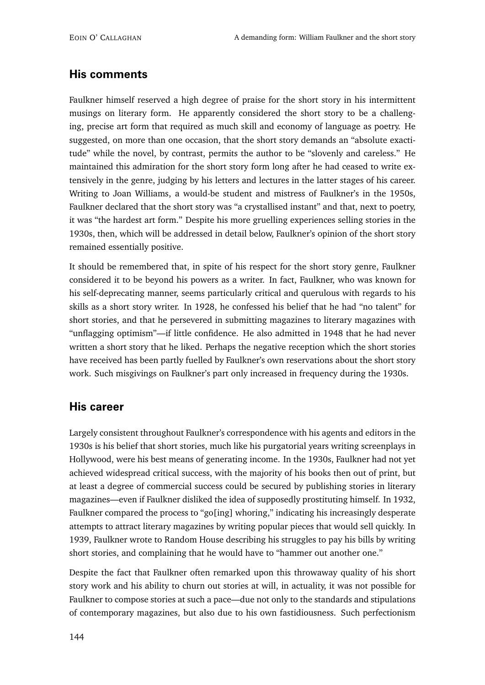#### **His comments**

Faulkner himself reserved a high degree of praise for the short story in his intermittent musings on literary form. He apparently considered the short story to be a challenging, precise art form that required as much skill and economy of language as poetry. He suggested, on more than one occasion, that the short story demands an "absolute exactitude" while the novel, by contrast, permits the author to be "slovenly and careless." He maintained this admiration for the short story form long after he had ceased to write extensively in the genre, judging by his letters and lectures in the latter stages of his career. Writing to Joan Williams, a would-be student and mistress of Faulkner's in the 1950s, Faulkner declared that the short story was "a crystallised instant" and that, next to poetry, it was "the hardest art form." Despite his more gruelling experiences selling stories in the 1930s, then, which will be addressed in detail below, Faulkner's opinion of the short story remained essentially positive.

It should be remembered that, in spite of his respect for the short story genre, Faulkner considered it to be beyond his powers as a writer. In fact, Faulkner, who was known for his self-deprecating manner, seems particularly critical and querulous with regards to his skills as a short story writer. In 1928, he confessed his belief that he had "no talent" for short stories, and that he persevered in submitting magazines to literary magazines with "unflagging optimism"—if little confidence. He also admitted in 1948 that he had never written a short story that he liked. Perhaps the negative reception which the short stories have received has been partly fuelled by Faulkner's own reservations about the short story work. Such misgivings on Faulkner's part only increased in frequency during the 1930s.

#### **His career**

Largely consistent throughout Faulkner's correspondence with his agents and editors in the 1930s is his belief that short stories, much like his purgatorial years writing screenplays in Hollywood, were his best means of generating income. In the 1930s, Faulkner had not yet achieved widespread critical success, with the majority of his books then out of print, but at least a degree of commercial success could be secured by publishing stories in literary magazines—even if Faulkner disliked the idea of supposedly prostituting himself. In 1932, Faulkner compared the process to "go[ing] whoring," indicating his increasingly desperate attempts to attract literary magazines by writing popular pieces that would sell quickly. In 1939, Faulkner wrote to Random House describing his struggles to pay his bills by writing short stories, and complaining that he would have to "hammer out another one."

Despite the fact that Faulkner often remarked upon this throwaway quality of his short story work and his ability to churn out stories at will, in actuality, it was not possible for Faulkner to compose stories at such a pace—due not only to the standards and stipulations of contemporary magazines, but also due to his own fastidiousness. Such perfectionism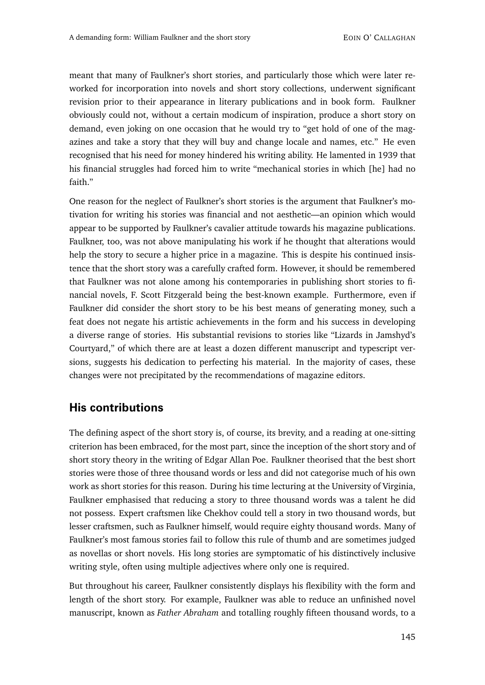meant that many of Faulkner's short stories, and particularly those which were later reworked for incorporation into novels and short story collections, underwent significant revision prior to their appearance in literary publications and in book form. Faulkner obviously could not, without a certain modicum of inspiration, produce a short story on demand, even joking on one occasion that he would try to "get hold of one of the magazines and take a story that they will buy and change locale and names, etc." He even recognised that his need for money hindered his writing ability. He lamented in 1939 that his financial struggles had forced him to write "mechanical stories in which [he] had no faith."

One reason for the neglect of Faulkner's short stories is the argument that Faulkner's motivation for writing his stories was financial and not aesthetic—an opinion which would appear to be supported by Faulkner's cavalier attitude towards his magazine publications. Faulkner, too, was not above manipulating his work if he thought that alterations would help the story to secure a higher price in a magazine. This is despite his continued insistence that the short story was a carefully crafted form. However, it should be remembered that Faulkner was not alone among his contemporaries in publishing short stories to financial novels, F. Scott Fitzgerald being the best-known example. Furthermore, even if Faulkner did consider the short story to be his best means of generating money, such a feat does not negate his artistic achievements in the form and his success in developing a diverse range of stories. His substantial revisions to stories like "Lizards in Jamshyd's Courtyard," of which there are at least a dozen different manuscript and typescript versions, suggests his dedication to perfecting his material. In the majority of cases, these changes were not precipitated by the recommendations of magazine editors.

#### **His contributions**

The defining aspect of the short story is, of course, its brevity, and a reading at one-sitting criterion has been embraced, for the most part, since the inception of the short story and of short story theory in the writing of Edgar Allan Poe. Faulkner theorised that the best short stories were those of three thousand words or less and did not categorise much of his own work as short stories for this reason. During his time lecturing at the University of Virginia, Faulkner emphasised that reducing a story to three thousand words was a talent he did not possess. Expert craftsmen like Chekhov could tell a story in two thousand words, but lesser craftsmen, such as Faulkner himself, would require eighty thousand words. Many of Faulkner's most famous stories fail to follow this rule of thumb and are sometimes judged as novellas or short novels. His long stories are symptomatic of his distinctively inclusive writing style, often using multiple adjectives where only one is required.

But throughout his career, Faulkner consistently displays his flexibility with the form and length of the short story. For example, Faulkner was able to reduce an unfinished novel manuscript, known as *Father Abraham* and totalling roughly fifteen thousand words, to a